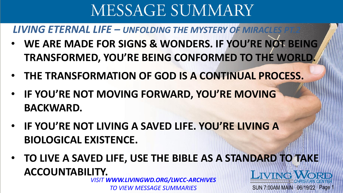**LIVING ETERNAL LIFE – UNFOLDING THE MYSTERY OF MIRACLES** 

- **WE ARE MADE FOR SIGNS & WONDERS. IF YOU'RE NOT BEING TRANSFORMED, YOU'RE BEING CONFORMED TO THE WORLD.**
- **THE TRANSFORMATION OF GOD IS A CONTINUAL PROCESS.**
- **IF YOU'RE NOT MOVING FORWARD, YOU'RE MOVING BACKWARD.**
- **IF YOU'RE NOT LIVING A SAVED LIFE. YOU'RE LIVING A BIOLOGICAL EXISTENCE.**
- **TO LIVE A SAVED LIFE, USE THE BIBLE AS A STANDARD TO TAKE ACCOUNTABILITY. LIVING WORD**

SUN 7:00AM MAIN 06/19/22 Page

*VISIT WWW.LIVINGWD.ORG/LWCC-ARCHIVES TO VIEW MESSAGE SUMMARIES*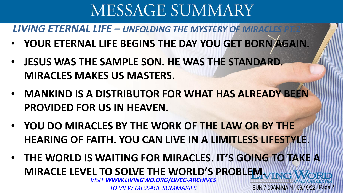**LIVING ETERNAL LIFE – UNFOLDING THE MYSTERY OF MIRACLES** 

- **YOUR ETERNAL LIFE BEGINS THE DAY YOU GET BORN AGAIN.**
- **JESUS WAS THE SAMPLE SON. HE WAS THE STANDARD. MIRACLES MAKES US MASTERS.**
- **MANKIND IS A DISTRIBUTOR FOR WHAT HAS ALREADY BEEN PROVIDED FOR US IN HEAVEN.**
- **YOU DO MIRACLES BY THE WORK OF THE LAW OR BY THE HEARING OF FAITH. YOU CAN LIVE IN A LIMITLESS LIFESTYLE.**
- **THE WORLD IS WAITING FOR MIRACLES. IT'S GOING TO TAKE A MIRACLE LEVEL TO SOLVE THE WORLD'S PROBLEM.** SUN 7:00AM MAIN 06/19/22 Page 2 *VISIT WWW.LIVINGWD.ORG/LWCC-ARCHIVES TO VIEW MESSAGE SUMMARIES*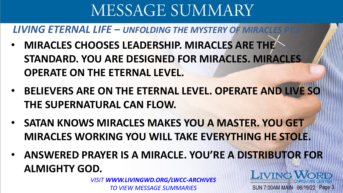### **LIVING ETERNAL LIFE – UNFOLDING THE MYSTERY OF MIRACLES**

- **MIRACLES CHOOSES LEADERSHIP. MIRACLES ARE THE STANDARD. YOU ARE DESIGNED FOR MIRACLES. MIRACLES OPERATE ON THE ETERNAL LEVEL.**
- **BELIEVERS ARE ON THE ETERNAL LEVEL. OPERATE AND LIVE SO THE SUPERNATURAL CAN FLOW.**
- **SATAN KNOWS MIRACLES MAKES YOU A MASTER. YOU GET MIRACLES WORKING YOU WILL TAKE EVERYTHING HE STOLE.**
- **ANSWERED PRAYER IS A MIRACLE. YOU'RE A DISTRIBUTOR FOR ALMIGHTY GOD.** LIVING WORL

SUN 7:00AM MAIN 06/19/22 Page 3

*VISIT WWW.LIVINGWD.ORG/LWCC-ARCHIVES TO VIEW MESSAGE SUMMARIES*